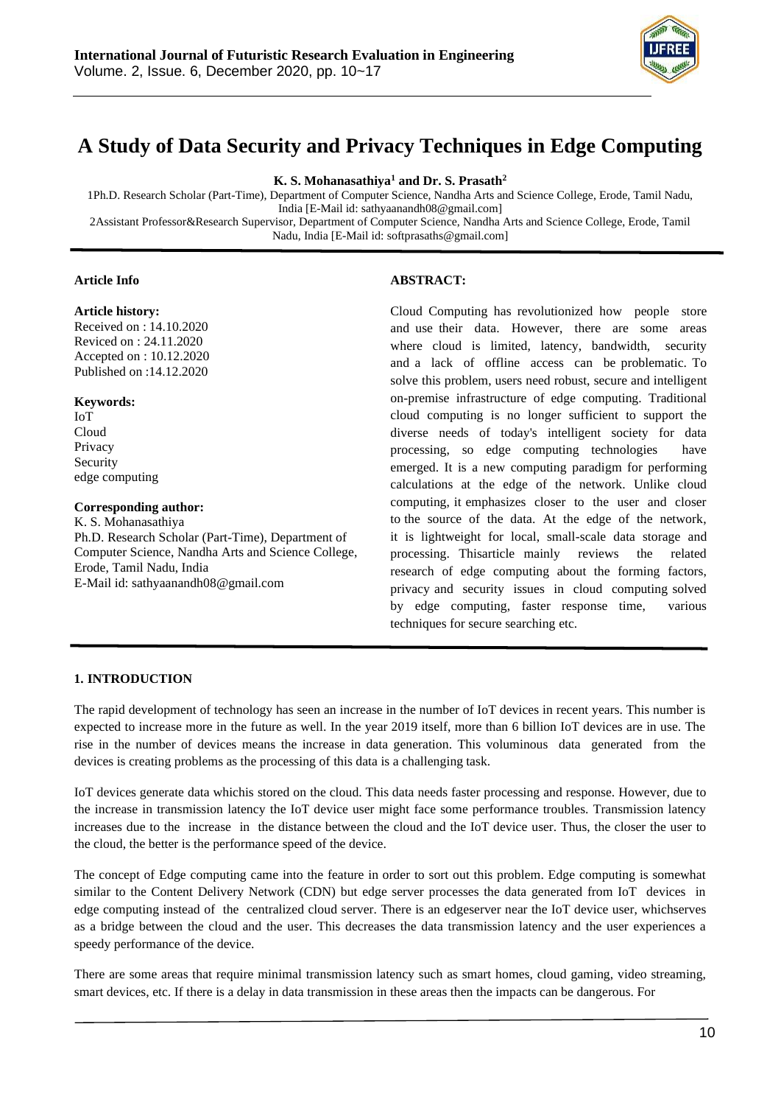

# **A Study of Data Security and Privacy Techniques in Edge Computing**

**K. S. Mohanasathiya<sup>1</sup> and Dr. S. Prasath<sup>2</sup>**

1Ph.D. Research Scholar (Part-Time), Department of Computer Science, Nandha Arts and Science College, Erode, Tamil Nadu, India [E-Mail id[: sathyaanandh08@gmail.com\]](mailto:sathyaanandh08@gmail.com) 2Assistant Professor&Research Supervisor, Department of Computer Science, Nandha Arts and Science College, Erode, Tamil

Nadu, India [E-Mail id: [softprasaths@gmail.com\]](mailto:softprasaths@gmail.com)

# **Article Info**

#### **Article history:**

Received on : 14.10.2020 Reviced on : 24.11.2020 Accepted on : 10.12.2020 Published on :14.12.2020

#### **Keywords:**

IoT Cloud Privacy Security edge computing

#### **Corresponding author:**

K. S. Mohanasathiya Ph.D. Research Scholar (Part-Time), Department of Computer Science, Nandha Arts and Science College, Erode, Tamil Nadu, India E-Mail id[: sathyaanandh08@gmail.com](mailto:sathyaanandh08@gmail.com)

#### **ABSTRACT:**

Cloud Computing has revolutionized how people store and use their data. However, there are some areas where cloud is limited, latency, bandwidth, security and a lack of offline access can be problematic. To solve this problem, users need robust, secure and intelligent on-premise infrastructure of edge computing. Traditional cloud computing is no longer sufficient to support the diverse needs of today's intelligent society for data processing, so edge computing technologies have emerged. It is a new computing paradigm for performing calculations at the edge of the network. Unlike cloud computing, it emphasizes closer to the user and closer to the source of the data. At the edge of the network, it is lightweight for local, small-scale data storage and processing. Thisarticle mainly reviews the related research of edge computing about the forming factors, privacy and security issues in cloud computing solved by edge computing, faster response time, various techniques for secure searching etc.

#### **1. INTRODUCTION**

The rapid development of technology has seen an increase in the number of IoT devices in recent years. This number is expected to increase more in the future as well. In the year 2019 itself, more than 6 billion IoT devices are in use. The rise in the number of devices means the increase in data generation. This voluminous data generated from the devices is creating problems as the processing of this data is a challenging task.

IoT devices generate data whichis stored on the cloud. This data needs faster processing and response. However, due to the increase in transmission latency the IoT device user might face some performance troubles. Transmission latency increases due to the increase in the distance between the cloud and the IoT device user. Thus, the closer the user to the cloud, the better is the performance speed of the device.

The concept of Edge computing came into the feature in order to sort out this problem. Edge computing is somewhat similar to the Content Delivery Network (CDN) but edge server processes the data generated from IoT devices in edge computing instead of the centralized cloud server. There is an edgeserver near the IoT device user, whichserves as a bridge between the cloud and the user. This decreases the data transmission latency and the user experiences a speedy performance of the device.

There are some areas that require minimal transmission latency such as smart homes, cloud gaming, video streaming, smart devices, etc. If there is a delay in data transmission in these areas then the impacts can be dangerous. For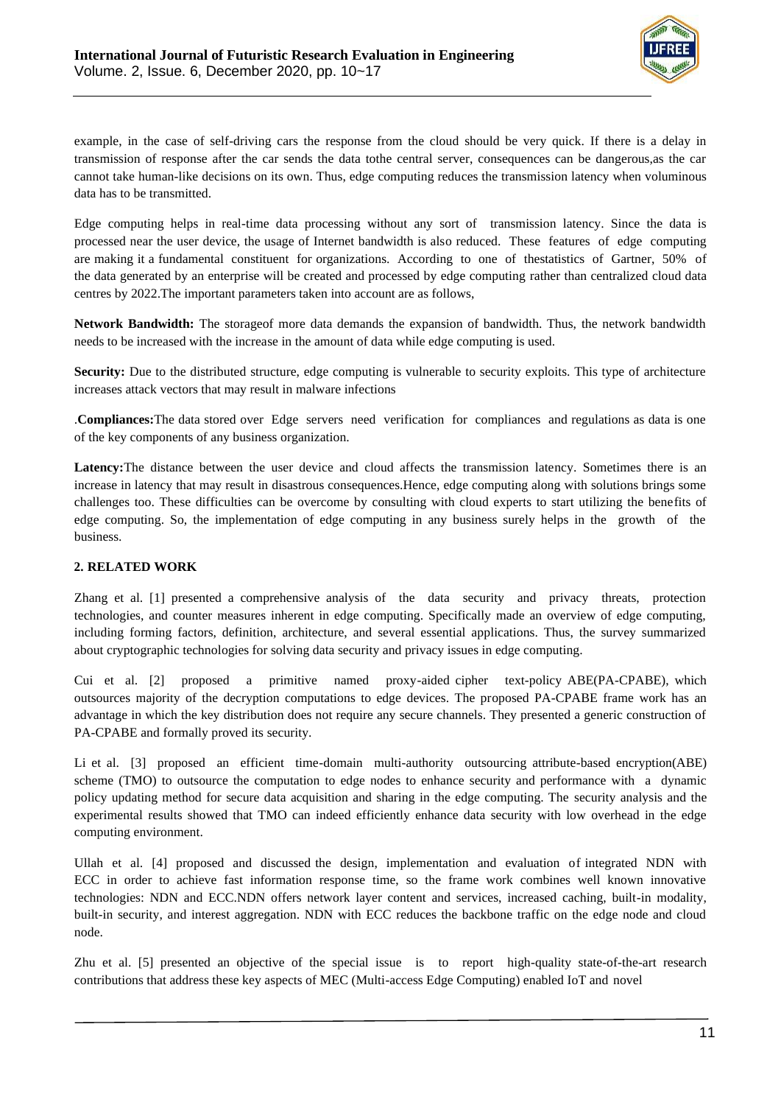

example, in the case of self-driving cars the response from the cloud should be very quick. If there is a delay in transmission of response after the car sends the data tothe central server, consequences can be dangerous,as the car cannot take human-like decisions on its own. Thus, edge computing reduces the transmission latency when voluminous data has to be transmitted.

Edge computing helps in real-time data processing without any sort of transmission latency. Since the data is processed near the user device, the usage of Internet bandwidth is also reduced. These features of edge computing are making it a fundamental constituent for organizations. According to one of thestatistics of Gartner, 50% of the data generated by an enterprise will be created and processed by edge computing rather than centralized cloud data centres by 2022.The important parameters taken into account are as follows,

**Network Bandwidth:** The storageof more data demands the expansion of bandwidth. Thus, the network bandwidth needs to be increased with the increase in the amount of data while edge computing is used.

**Security:** Due to the distributed structure, edge computing is vulnerable to security exploits. This type of architecture increases attack vectors that may result in malware infections

.**Compliances:**The data stored over Edge servers need verification for compliances and regulations as data is one of the key components of any business organization.

**Latency:**The distance between the user device and cloud affects the transmission latency. Sometimes there is an increase in latency that may result in disastrous consequences.Hence, edge computing along with solutions brings some challenges too. These difficulties can be overcome by consulting with cloud experts to start utilizing the benefits of edge computing. So, the implementation of edge computing in any business surely helps in the growth of the business.

## **2. RELATED WORK**

Zhang et al. [1] presented a comprehensive analysis of the data security and privacy threats, protection technologies, and counter measures inherent in edge computing. Specifically made an overview of edge computing, including forming factors, definition, architecture, and several essential applications. Thus, the survey summarized about cryptographic technologies for solving data security and privacy issues in edge computing.

Cui et al. [2] proposed a primitive named proxy-aided cipher text-policy ABE(PA-CPABE), which outsources majority of the decryption computations to edge devices. The proposed PA-CPABE frame work has an advantage in which the key distribution does not require any secure channels. They presented a generic construction of PA-CPABE and formally proved its security.

Li et al. [3] proposed an efficient time-domain multi-authority outsourcing attribute-based encryption(ABE) scheme (TMO) to outsource the computation to edge nodes to enhance security and performance with a dynamic policy updating method for secure data acquisition and sharing in the edge computing. The security analysis and the experimental results showed that TMO can indeed efficiently enhance data security with low overhead in the edge computing environment.

Ullah et al. [4] proposed and discussed the design, implementation and evaluation of integrated NDN with ECC in order to achieve fast information response time, so the frame work combines well known innovative technologies: NDN and ECC.NDN offers network layer content and services, increased caching, built-in modality, built-in security, and interest aggregation. NDN with ECC reduces the backbone traffic on the edge node and cloud node.

Zhu et al. [5] presented an objective of the special issue is to report high-quality state-of-the-art research contributions that address these key aspects of MEC (Multi-access Edge Computing) enabled IoT and novel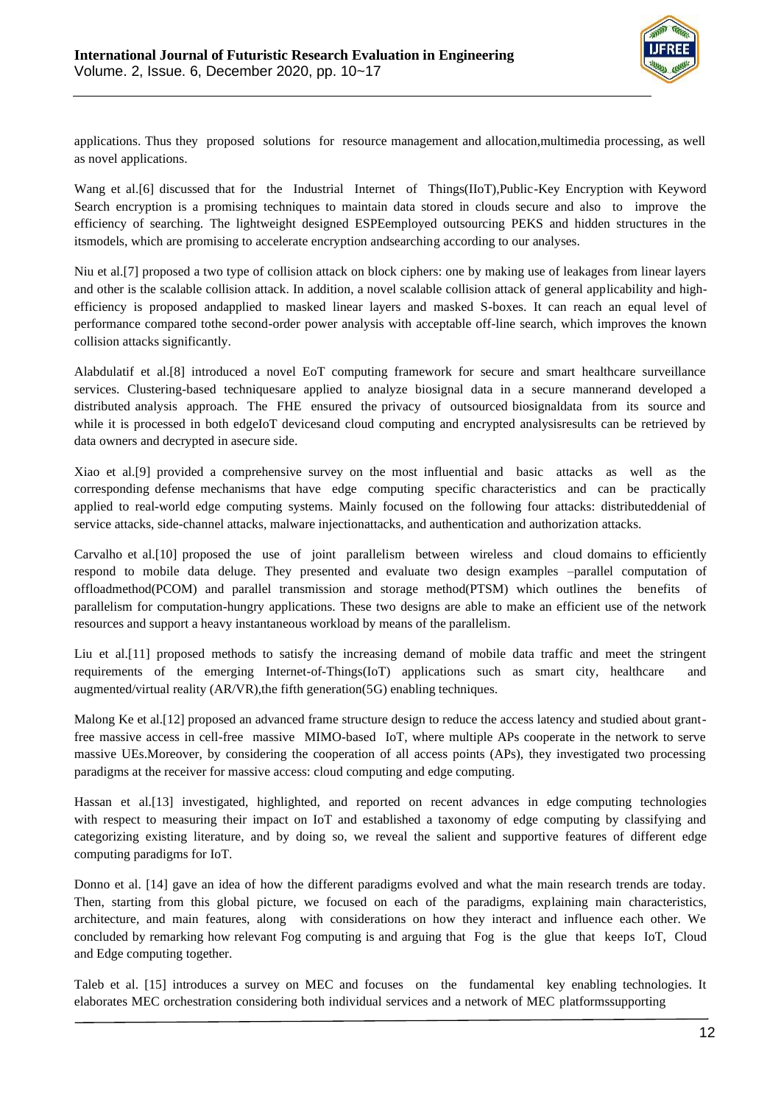

applications. Thus they proposed solutions for resource management and allocation,multimedia processing, as well as novel applications.

Wang et al.[6] discussed that for the Industrial Internet of Things(IIoT),Public-Key Encryption with Keyword Search encryption is a promising techniques to maintain data stored in clouds secure and also to improve the efficiency of searching. The lightweight designed ESPEemployed outsourcing PEKS and hidden structures in the itsmodels, which are promising to accelerate encryption andsearching according to our analyses.

Niu et al.[7] proposed a two type of collision attack on block ciphers: one by making use of leakages from linear layers and other is the scalable collision attack. In addition, a novel scalable collision attack of general applicability and highefficiency is proposed andapplied to masked linear layers and masked S-boxes. It can reach an equal level of performance compared tothe second-order power analysis with acceptable off-line search, which improves the known collision attacks significantly.

Alabdulatif et al.[8] introduced a novel EoT computing framework for secure and smart healthcare surveillance services. Clustering-based techniquesare applied to analyze biosignal data in a secure mannerand developed a distributed analysis approach. The FHE ensured the privacy of outsourced biosignaldata from its source and while it is processed in both edgeIoT devicesand cloud computing and encrypted analysisresults can be retrieved by data owners and decrypted in asecure side.

Xiao et al.[9] provided a comprehensive survey on the most influential and basic attacks as well as the corresponding defense mechanisms that have edge computing specific characteristics and can be practically applied to real-world edge computing systems. Mainly focused on the following four attacks: distributeddenial of service attacks, side-channel attacks, malware injectionattacks, and authentication and authorization attacks.

Carvalho et al.[10] proposed the use of joint parallelism between wireless and cloud domains to efficiently respond to mobile data deluge. They presented and evaluate two design examples –parallel computation of offloadmethod(PCOM) and parallel transmission and storage method(PTSM) which outlines the benefits of parallelism for computation-hungry applications. These two designs are able to make an efficient use of the network resources and support a heavy instantaneous workload by means of the parallelism.

Liu et al.[11] proposed methods to satisfy the increasing demand of mobile data traffic and meet the stringent requirements of the emerging Internet-of-Things(IoT) applications such as smart city, healthcare and augmented/virtual reality (AR/VR),the fifth generation(5G) enabling techniques.

Malong Ke et al.[12] proposed an advanced frame structure design to reduce the access latency and studied about grantfree massive access in cell-free massive MIMO-based IoT, where multiple APs cooperate in the network to serve massive UEs.Moreover, by considering the cooperation of all access points (APs), they investigated two processing paradigms at the receiver for massive access: cloud computing and edge computing.

Hassan et al.[13] investigated, highlighted, and reported on recent advances in edge computing technologies with respect to measuring their impact on IoT and established a taxonomy of edge computing by classifying and categorizing existing literature, and by doing so, we reveal the salient and supportive features of different edge computing paradigms for IoT.

Donno et al. [14] gave an idea of how the different paradigms evolved and what the main research trends are today. Then, starting from this global picture, we focused on each of the paradigms, explaining main characteristics, architecture, and main features, along with considerations on how they interact and influence each other. We concluded by remarking how relevant Fog computing is and arguing that Fog is the glue that keeps IoT, Cloud and Edge computing together.

Taleb et al. [15] introduces a survey on MEC and focuses on the fundamental key enabling technologies. It elaborates MEC orchestration considering both individual services and a network of MEC platformssupporting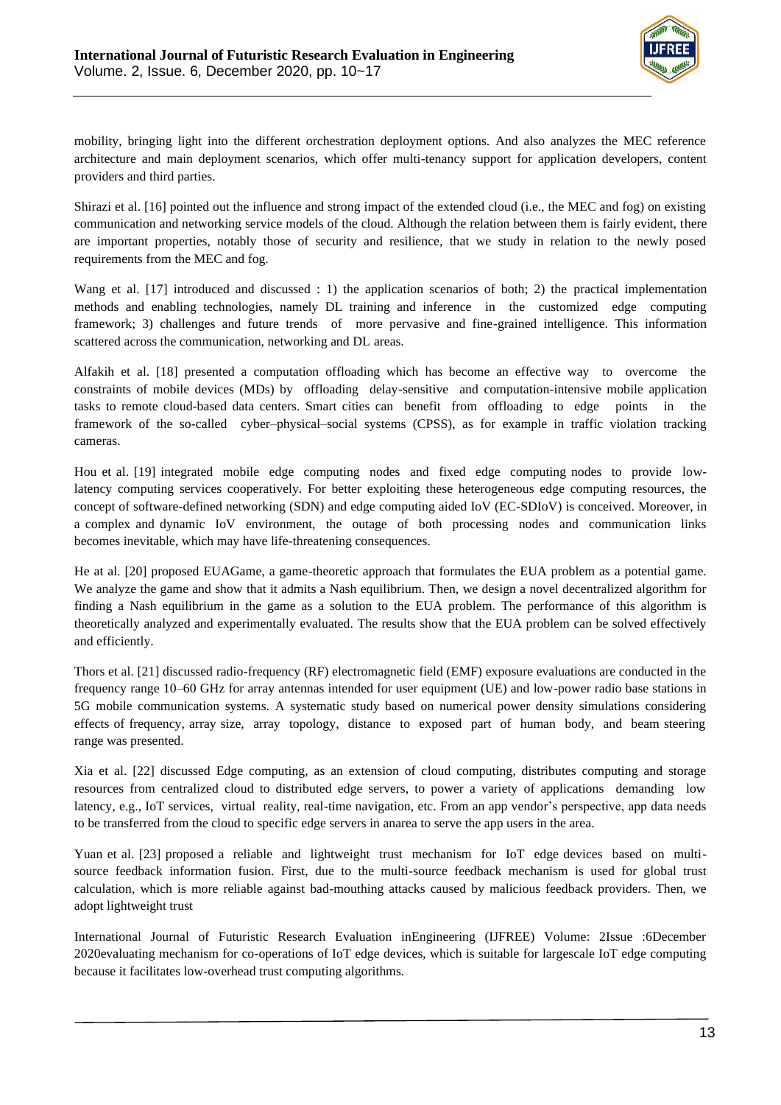

mobility, bringing light into the different orchestration deployment options. And also analyzes the MEC reference architecture and main deployment scenarios, which offer multi-tenancy support for application developers, content providers and third parties.

Shirazi et al. [16] pointed out the influence and strong impact of the extended cloud (i.e., the MEC and fog) on existing communication and networking service models of the cloud. Although the relation between them is fairly evident, there are important properties, notably those of security and resilience, that we study in relation to the newly posed requirements from the MEC and fog.

Wang et al. [17] introduced and discussed : 1) the application scenarios of both; 2) the practical implementation methods and enabling technologies, namely DL training and inference in the customized edge computing framework; 3) challenges and future trends of more pervasive and fine-grained intelligence. This information scattered across the communication, networking and DL areas.

Alfakih et al. [18] presented a computation offloading which has become an effective way to overcome the constraints of mobile devices (MDs) by offloading delay-sensitive and computation-intensive mobile application tasks to remote cloud-based data centers. Smart cities can benefit from offloading to edge points in the framework of the so-called cyber–physical–social systems (CPSS), as for example in traffic violation tracking cameras.

Hou et al. [19] integrated mobile edge computing nodes and fixed edge computing nodes to provide lowlatency computing services cooperatively. For better exploiting these heterogeneous edge computing resources, the concept of software-defined networking (SDN) and edge computing aided IoV (EC-SDIoV) is conceived. Moreover, in a complex and dynamic IoV environment, the outage of both processing nodes and communication links becomes inevitable, which may have life-threatening consequences.

He at al. [20] proposed EUAGame, a game-theoretic approach that formulates the EUA problem as a potential game. We analyze the game and show that it admits a Nash equilibrium. Then, we design a novel decentralized algorithm for finding a Nash equilibrium in the game as a solution to the EUA problem. The performance of this algorithm is theoretically analyzed and experimentally evaluated. The results show that the EUA problem can be solved effectively and efficiently.

Thors et al. [21] discussed radio-frequency (RF) electromagnetic field (EMF) exposure evaluations are conducted in the frequency range 10–60 GHz for array antennas intended for user equipment (UE) and low-power radio base stations in 5G mobile communication systems. A systematic study based on numerical power density simulations considering effects of frequency, array size, array topology, distance to exposed part of human body, and beam steering range was presented.

Xia et al. [22] discussed Edge computing, as an extension of cloud computing, distributes computing and storage resources from centralized cloud to distributed edge servers, to power a variety of applications demanding low latency, e.g., IoT services, virtual reality, real-time navigation, etc. From an app vendor's perspective, app data needs to be transferred from the cloud to specific edge servers in anarea to serve the app users in the area.

Yuan et al. [23] proposed a reliable and lightweight trust mechanism for IoT edge devices based on multisource feedback information fusion. First, due to the multi-source feedback mechanism is used for global trust calculation, which is more reliable against bad-mouthing attacks caused by malicious feedback providers. Then, we adopt lightweight trust

International Journal of Futuristic Research Evaluation inEngineering (IJFREE) Volume: 2Issue :6December 2020evaluating mechanism for co-operations of IoT edge devices, which is suitable for largescale IoT edge computing because it facilitates low-overhead trust computing algorithms.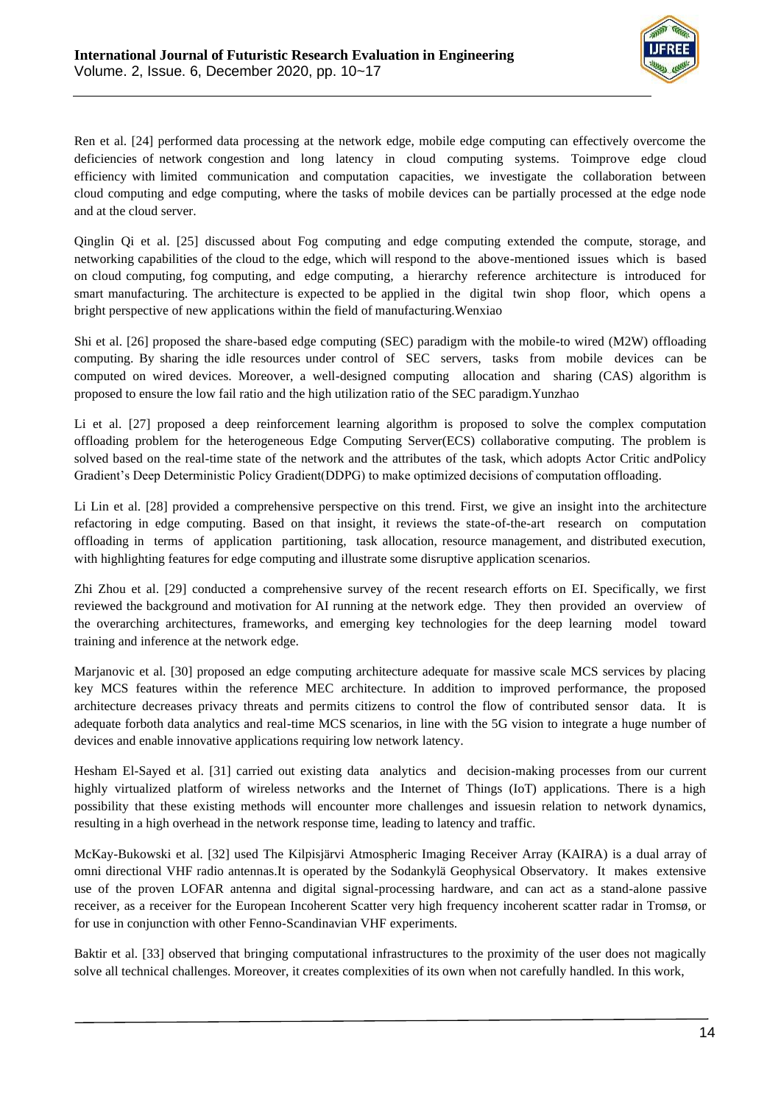

Ren et al. [24] performed data processing at the network edge, mobile edge computing can effectively overcome the deficiencies of network congestion and long latency in cloud computing systems. Toimprove edge cloud efficiency with limited communication and computation capacities, we investigate the collaboration between cloud computing and edge computing, where the tasks of mobile devices can be partially processed at the edge node and at the cloud server.

Qinglin Qi et al. [25] discussed about Fog computing and edge computing extended the compute, storage, and networking capabilities of the cloud to the edge, which will respond to the above-mentioned issues which is based on cloud computing, fog computing, and edge computing, a hierarchy reference architecture is introduced for smart manufacturing. The architecture is expected to be applied in the digital twin shop floor, which opens a bright perspective of new applications within the field of manufacturing.Wenxiao

Shi et al. [26] proposed the share-based edge computing (SEC) paradigm with the mobile-to wired (M2W) offloading computing. By sharing the idle resources under control of SEC servers, tasks from mobile devices can be computed on wired devices. Moreover, a well-designed computing allocation and sharing (CAS) algorithm is proposed to ensure the low fail ratio and the high utilization ratio of the SEC paradigm.Yunzhao

Li et al. [27] proposed a deep reinforcement learning algorithm is proposed to solve the complex computation offloading problem for the heterogeneous Edge Computing Server(ECS) collaborative computing. The problem is solved based on the real-time state of the network and the attributes of the task, which adopts Actor Critic andPolicy Gradient's Deep Deterministic Policy Gradient(DDPG) to make optimized decisions of computation offloading.

Li Lin et al. [28] provided a comprehensive perspective on this trend. First, we give an insight into the architecture refactoring in edge computing. Based on that insight, it reviews the state-of-the-art research on computation offloading in terms of application partitioning, task allocation, resource management, and distributed execution, with highlighting features for edge computing and illustrate some disruptive application scenarios.

Zhi Zhou et al. [29] conducted a comprehensive survey of the recent research efforts on EI. Specifically, we first reviewed the background and motivation for AI running at the network edge. They then provided an overview of the overarching architectures, frameworks, and emerging key technologies for the deep learning model toward training and inference at the network edge.

Marjanovic et al. [30] proposed an edge computing architecture adequate for massive scale MCS services by placing key MCS features within the reference MEC architecture. In addition to improved performance, the proposed architecture decreases privacy threats and permits citizens to control the flow of contributed sensor data. It is adequate forboth data analytics and real-time MCS scenarios, in line with the 5G vision to integrate a huge number of devices and enable innovative applications requiring low network latency.

Hesham El-Sayed et al. [31] carried out existing data analytics and decision-making processes from our current highly virtualized platform of wireless networks and the Internet of Things (IoT) applications. There is a high possibility that these existing methods will encounter more challenges and issuesin relation to network dynamics, resulting in a high overhead in the network response time, leading to latency and traffic.

McKay-Bukowski et al. [32] used The Kilpisjärvi Atmospheric Imaging Receiver Array (KAIRA) is a dual array of omni directional VHF radio antennas.It is operated by the Sodankylä Geophysical Observatory. It makes extensive use of the proven LOFAR antenna and digital signal-processing hardware, and can act as a stand-alone passive receiver, as a receiver for the European Incoherent Scatter very high frequency incoherent scatter radar in Tromsø, or for use in conjunction with other Fenno-Scandinavian VHF experiments.

Baktir et al. [33] observed that bringing computational infrastructures to the proximity of the user does not magically solve all technical challenges. Moreover, it creates complexities of its own when not carefully handled. In this work,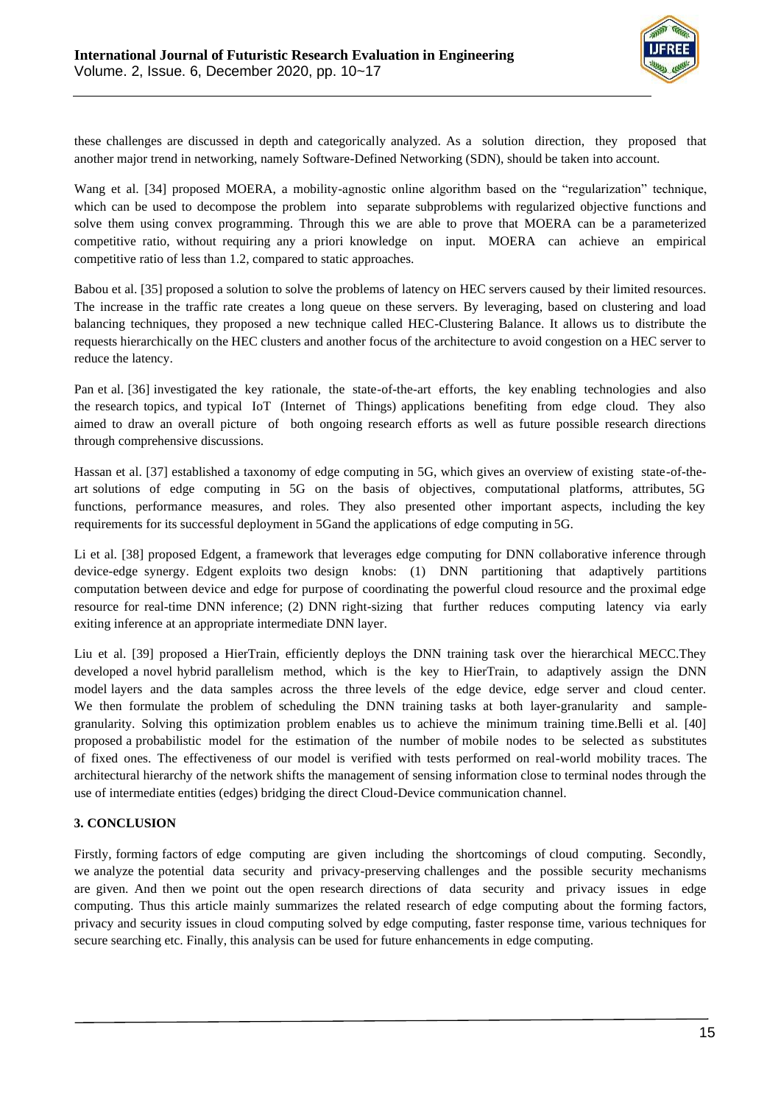

these challenges are discussed in depth and categorically analyzed. As a solution direction, they proposed that another major trend in networking, namely Software-Defined Networking (SDN), should be taken into account.

Wang et al. [34] proposed MOERA, a mobility-agnostic online algorithm based on the "regularization" technique, which can be used to decompose the problem into separate subproblems with regularized objective functions and solve them using convex programming. Through this we are able to prove that MOERA can be a parameterized competitive ratio, without requiring any a priori knowledge on input. MOERA can achieve an empirical competitive ratio of less than 1.2, compared to static approaches.

Babou et al. [35] proposed a solution to solve the problems of latency on HEC servers caused by their limited resources. The increase in the traffic rate creates a long queue on these servers. By leveraging, based on clustering and load balancing techniques, they proposed a new technique called HEC-Clustering Balance. It allows us to distribute the requests hierarchically on the HEC clusters and another focus of the architecture to avoid congestion on a HEC server to reduce the latency.

Pan et al. [36] investigated the key rationale, the state-of-the-art efforts, the key enabling technologies and also the research topics, and typical IoT (Internet of Things) applications benefiting from edge cloud. They also aimed to draw an overall picture of both ongoing research efforts as well as future possible research directions through comprehensive discussions.

Hassan et al. [37] established a taxonomy of edge computing in 5G, which gives an overview of existing state-of-theart solutions of edge computing in 5G on the basis of objectives, computational platforms, attributes, 5G functions, performance measures, and roles. They also presented other important aspects, including the key requirements for its successful deployment in 5Gand the applications of edge computing in 5G.

Li et al. [38] proposed Edgent, a framework that leverages edge computing for DNN collaborative inference through device-edge synergy. Edgent exploits two design knobs: (1) DNN partitioning that adaptively partitions computation between device and edge for purpose of coordinating the powerful cloud resource and the proximal edge resource for real-time DNN inference; (2) DNN right-sizing that further reduces computing latency via early exiting inference at an appropriate intermediate DNN layer.

Liu et al. [39] proposed a HierTrain, efficiently deploys the DNN training task over the hierarchical MECC.They developed a novel hybrid parallelism method, which is the key to HierTrain, to adaptively assign the DNN model layers and the data samples across the three levels of the edge device, edge server and cloud center. We then formulate the problem of scheduling the DNN training tasks at both layer-granularity and samplegranularity. Solving this optimization problem enables us to achieve the minimum training time.Belli et al. [40] proposed a probabilistic model for the estimation of the number of mobile nodes to be selected as substitutes of fixed ones. The effectiveness of our model is verified with tests performed on real-world mobility traces. The architectural hierarchy of the network shifts the management of sensing information close to terminal nodes through the use of intermediate entities (edges) bridging the direct Cloud-Device communication channel.

## **3. CONCLUSION**

Firstly, forming factors of edge computing are given including the shortcomings of cloud computing. Secondly, we analyze the potential data security and privacy-preserving challenges and the possible security mechanisms are given. And then we point out the open research directions of data security and privacy issues in edge computing. Thus this article mainly summarizes the related research of edge computing about the forming factors, privacy and security issues in cloud computing solved by edge computing, faster response time, various techniques for secure searching etc. Finally, this analysis can be used for future enhancements in edge computing.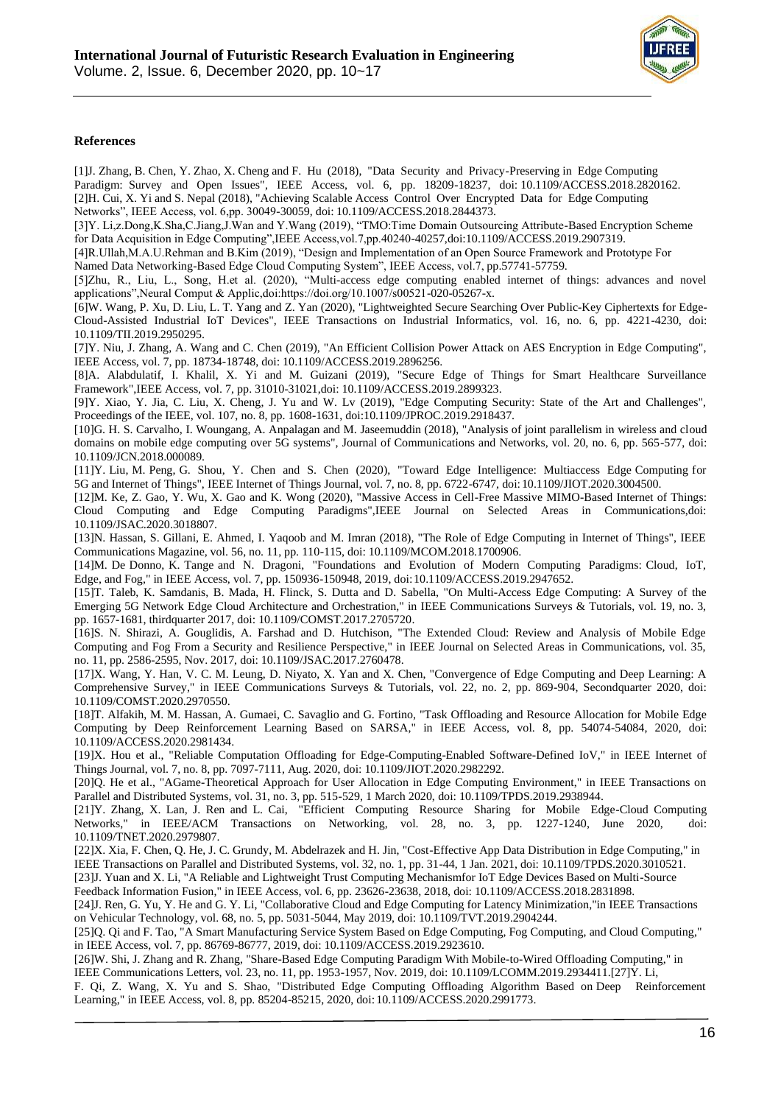

#### **References**

[1]J. Zhang, B. Chen, Y. Zhao, X. Cheng and F. Hu (2018), "Data Security and Privacy-Preserving in Edge Computing Paradigm: Survey and Open Issues", IEEE Access, vol. 6, pp. 18209-18237, doi: 10.1109/ACCESS.2018.2820162. [2]H. Cui, X. Yi and S. Nepal (2018), "Achieving Scalable Access Control Over Encrypted Data for Edge Computing Networks", IEEE Access, vol. 6,pp. 30049-30059, doi: 10.1109/ACCESS.2018.2844373.

[3]Y. Li,z.Dong,K.Sha,C.Jiang,J.Wan and Y.Wang (2019), "TMO:Time Domain Outsourcing Attribute-Based Encryption Scheme for Data Acquisition in Edge Computing",IEEE Access,vol.7,pp.40240-40257,doi:10.1109/ACCESS.2019.2907319.

[4]R.Ullah,M.A.U.Rehman and B.Kim (2019), "Design and Implementation of an Open Source Framework and Prototype For Named Data Networking-Based Edge Cloud Computing System", IEEE Access, vol.7, pp.57741-57759.

[5]Zhu, R., Liu, L., Song, H.et al. (2020), "Multi-access edge computing enabled internet of things: advances and novel applications",Neural Comput & Applic,doi:https://doi.org/10.1007/s00521-020-05267-x.

[6]W. Wang, P. Xu, D. Liu, L. T. Yang and Z. Yan (2020), "Lightweighted Secure Searching Over Public-Key Ciphertexts for Edge-Cloud-Assisted Industrial IoT Devices", IEEE Transactions on Industrial Informatics, vol. 16, no. 6, pp. 4221-4230, doi: 10.1109/TII.2019.2950295.

[7]Y. Niu, J. Zhang, A. Wang and C. Chen (2019), "An Efficient Collision Power Attack on AES Encryption in Edge Computing", IEEE Access, vol. 7, pp. 18734-18748, doi: 10.1109/ACCESS.2019.2896256.

[8]A. Alabdulatif, I. Khalil, X. Yi and M. Guizani (2019), "Secure Edge of Things for Smart Healthcare Surveillance Framework",IEEE Access, vol. 7, pp. 31010-31021,doi: 10.1109/ACCESS.2019.2899323.

[9]Y. Xiao, Y. Jia, C. Liu, X. Cheng, J. Yu and W. Lv (2019), "Edge Computing Security: State of the Art and Challenges", Proceedings of the IEEE, vol. 107, no. 8, pp. 1608-1631, doi:10.1109/JPROC.2019.2918437.

[10]G. H. S. Carvalho, I. Woungang, A. Anpalagan and M. Jaseemuddin (2018), "Analysis of joint parallelism in wireless and cloud domains on mobile edge computing over 5G systems", Journal of Communications and Networks, vol. 20, no. 6, pp. 565-577, doi: 10.1109/JCN.2018.000089.

[11]Y. Liu, M. Peng, G. Shou, Y. Chen and S. Chen (2020), "Toward Edge Intelligence: Multiaccess Edge Computing for 5G and Internet of Things", IEEE Internet of Things Journal, vol. 7, no. 8, pp. 6722-6747, doi:10.1109/JIOT.2020.3004500.

[12]M. Ke, Z. Gao, Y. Wu, X. Gao and K. Wong (2020), "Massive Access in Cell-Free Massive MIMO-Based Internet of Things: Cloud Computing and Edge Computing Paradigms",IEEE Journal on Selected Areas in Communications,doi: 10.1109/JSAC.2020.3018807.

[13]N. Hassan, S. Gillani, E. Ahmed, I. Yaqoob and M. Imran (2018), "The Role of Edge Computing in Internet of Things", IEEE Communications Magazine, vol. 56, no. 11, pp. 110-115, doi: 10.1109/MCOM.2018.1700906.

[14]M. De Donno, K. Tange and N. Dragoni, "Foundations and Evolution of Modern Computing Paradigms: Cloud, IoT, Edge, and Fog," in IEEE Access, vol. 7, pp. 150936-150948, 2019, doi:10.1109/ACCESS.2019.2947652.

[15]T. Taleb, K. Samdanis, B. Mada, H. Flinck, S. Dutta and D. Sabella, "On Multi-Access Edge Computing: A Survey of the Emerging 5G Network Edge Cloud Architecture and Orchestration," in IEEE Communications Surveys & Tutorials, vol. 19, no. 3, pp. 1657-1681, thirdquarter 2017, doi: 10.1109/COMST.2017.2705720.

[16]S. N. Shirazi, A. Gouglidis, A. Farshad and D. Hutchison, "The Extended Cloud: Review and Analysis of Mobile Edge Computing and Fog From a Security and Resilience Perspective," in IEEE Journal on Selected Areas in Communications, vol. 35, no. 11, pp. 2586-2595, Nov. 2017, doi: 10.1109/JSAC.2017.2760478.

[17]X. Wang, Y. Han, V. C. M. Leung, D. Niyato, X. Yan and X. Chen, "Convergence of Edge Computing and Deep Learning: A Comprehensive Survey," in IEEE Communications Surveys & Tutorials, vol. 22, no. 2, pp. 869-904, Secondquarter 2020, doi: 10.1109/COMST.2020.2970550.

[18]T. Alfakih, M. M. Hassan, A. Gumaei, C. Savaglio and G. Fortino, "Task Offloading and Resource Allocation for Mobile Edge Computing by Deep Reinforcement Learning Based on SARSA," in IEEE Access, vol. 8, pp. 54074-54084, 2020, doi: 10.1109/ACCESS.2020.2981434.

[19]X. Hou et al., "Reliable Computation Offloading for Edge-Computing-Enabled Software-Defined IoV," in IEEE Internet of Things Journal, vol. 7, no. 8, pp. 7097-7111, Aug. 2020, doi: 10.1109/JIOT.2020.2982292.

[20]Q. He et al., "AGame-Theoretical Approach for User Allocation in Edge Computing Environment," in IEEE Transactions on Parallel and Distributed Systems, vol. 31, no. 3, pp. 515-529, 1 March 2020, doi: 10.1109/TPDS.2019.2938944.

[21]Y. Zhang, X. Lan, J. Ren and L. Cai, "Efficient Computing Resource Sharing for Mobile Edge-Cloud Computing Networks," in IEEE/ACM Transactions on Networking, vol. 28, no. 3, pp. 1227-1240, June 2020, doi: 10.1109/TNET.2020.2979807.

[22]X. Xia, F. Chen, Q. He, J. C. Grundy, M. Abdelrazek and H. Jin, "Cost-Effective App Data Distribution in Edge Computing," in IEEE Transactions on Parallel and Distributed Systems, vol. 32, no. 1, pp. 31-44, 1 Jan. 2021, doi: 10.1109/TPDS.2020.3010521.

[23]J. Yuan and X. Li, "A Reliable and Lightweight Trust Computing Mechanismfor IoT Edge Devices Based on Multi-Source Feedback Information Fusion," in IEEE Access, vol. 6, pp. 23626-23638, 2018, doi: 10.1109/ACCESS.2018.2831898.

[24]J. Ren, G. Yu, Y. He and G. Y. Li, "Collaborative Cloud and Edge Computing for Latency Minimization,"in IEEE Transactions on Vehicular Technology, vol. 68, no. 5, pp. 5031-5044, May 2019, doi: 10.1109/TVT.2019.2904244.

[25]Q. Qi and F. Tao, "A Smart Manufacturing Service System Based on Edge Computing, Fog Computing, and Cloud Computing," in IEEE Access, vol. 7, pp. 86769-86777, 2019, doi: 10.1109/ACCESS.2019.2923610.

[26]W. Shi, J. Zhang and R. Zhang, "Share-Based Edge Computing Paradigm With Mobile-to-Wired Offloading Computing," in IEEE Communications Letters, vol. 23, no. 11, pp. 1953-1957, Nov. 2019, doi: 10.1109/LCOMM.2019.2934411.[27]Y. Li,

F. Qi, Z. Wang, X. Yu and S. Shao, "Distributed Edge Computing Offloading Algorithm Based on Deep Reinforcement Learning," in IEEE Access, vol. 8, pp. 85204-85215, 2020, doi: 10.1109/ACCESS.2020.2991773.